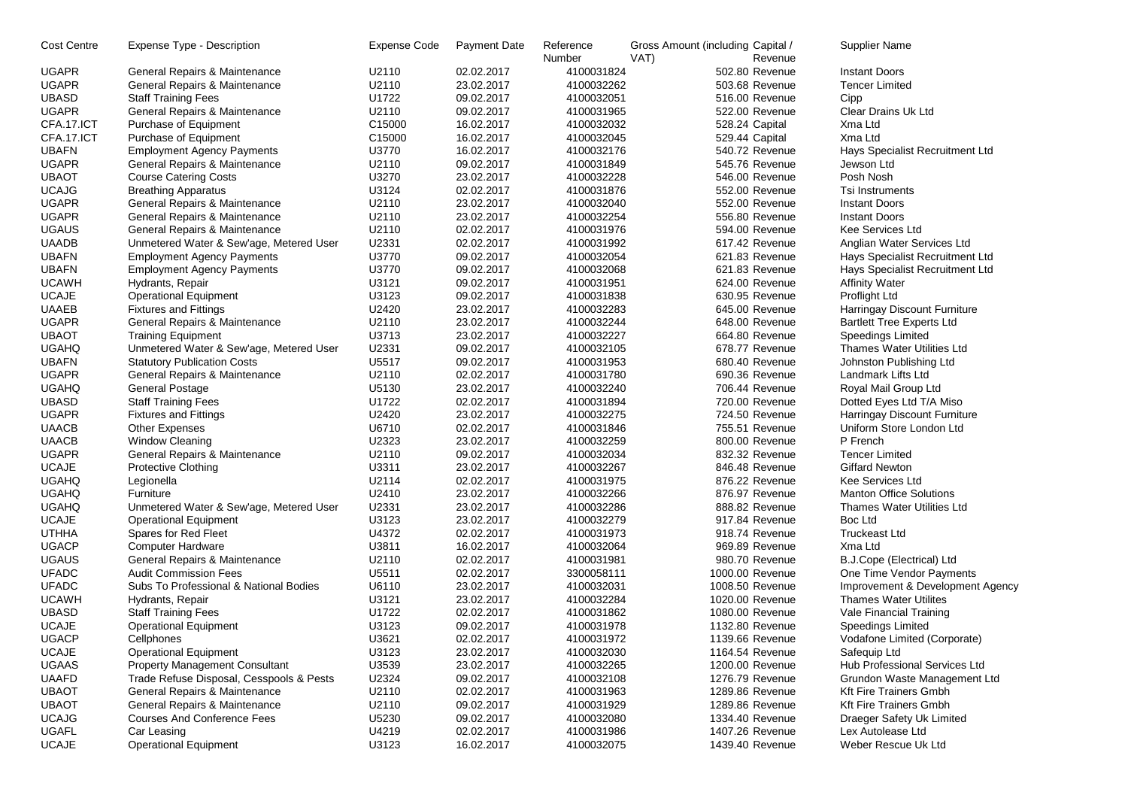| <b>UGAPR</b><br>U2110<br>02.02.2017<br>4100031824<br>502.80 Revenue<br><b>Instant Doors</b><br>General Repairs & Maintenance<br>U2110<br><b>UGAPR</b><br>General Repairs & Maintenance<br>23.02.2017<br>4100032262<br>503.68 Revenue<br><b>Tencer Limited</b><br>U1722<br><b>UBASD</b><br><b>Staff Training Fees</b><br>4100032051<br>516.00 Revenue<br>Cipp<br>09.02.2017<br><b>UGAPR</b><br>U2110<br>09.02.2017<br>4100031965<br>522.00 Revenue<br>Clear Drains Uk Ltd<br>General Repairs & Maintenance<br>C15000<br>CFA.17.ICT<br>Purchase of Equipment<br>16.02.2017<br>4100032032<br>528.24 Capital<br>Xma Ltd<br>CFA.17.ICT<br>C15000<br>16.02.2017<br>4100032045<br>529.44 Capital<br>Xma Ltd<br>Purchase of Equipment<br><b>UBAFN</b><br>U3770<br><b>Employment Agency Payments</b><br>16.02.2017<br>4100032176<br>540.72 Revenue<br>Hays Specialist Recruitment Ltd<br><b>UGAPR</b><br>General Repairs & Maintenance<br>U2110<br>09.02.2017<br>4100031849<br>545.76 Revenue<br>Jewson Ltd<br><b>UBAOT</b><br><b>Course Catering Costs</b><br>U3270<br>23.02.2017<br>4100032228<br>546.00 Revenue<br>Posh Nosh<br><b>UCAJG</b><br>U3124<br>02.02.2017<br>4100031876<br><b>Breathing Apparatus</b><br>552.00 Revenue<br>Tsi Instruments<br><b>UGAPR</b><br>General Repairs & Maintenance<br>U2110<br>23.02.2017<br>4100032040<br>552.00 Revenue<br><b>Instant Doors</b><br><b>UGAPR</b><br>General Repairs & Maintenance<br>U2110<br>23.02.2017<br>4100032254<br>556.80 Revenue<br><b>Instant Doors</b><br><b>UGAUS</b><br>General Repairs & Maintenance<br>U2110<br>02.02.2017<br>4100031976<br>594.00 Revenue<br><b>Kee Services Ltd</b><br><b>UAADB</b><br>Unmetered Water & Sew'age, Metered User<br>U2331<br>02.02.2017<br>617.42 Revenue<br>4100031992<br>Anglian Water Services Ltd<br><b>UBAFN</b><br>U3770<br>09.02.2017<br>4100032054<br>621.83 Revenue<br><b>Employment Agency Payments</b><br>Hays Specialist Recruitment Ltd<br>U3770<br><b>UBAFN</b><br>09.02.2017<br>4100032068<br>621.83 Revenue<br><b>Employment Agency Payments</b><br>Hays Specialist Recruitment Ltd<br><b>UCAWH</b><br>U3121<br>Hydrants, Repair<br>09.02.2017<br>4100031951<br>624.00 Revenue<br><b>Affinity Water</b><br><b>UCAJE</b><br><b>Operational Equipment</b><br>U3123<br>09.02.2017<br>4100031838<br>630.95 Revenue<br>Proflight Ltd<br><b>UAAEB</b><br><b>Fixtures and Fittings</b><br>U2420<br>23.02.2017<br>4100032283<br>Harringay Discount Furniture<br>645.00 Revenue<br><b>UGAPR</b><br>General Repairs & Maintenance<br>U2110<br>23.02.2017<br>4100032244<br>648.00 Revenue<br><b>Bartlett Tree Experts Ltd</b><br><b>UBAOT</b><br><b>Training Equipment</b><br>U3713<br>664.80 Revenue<br><b>Speedings Limited</b><br>23.02.2017<br>4100032227<br><b>UGAHQ</b><br>Unmetered Water & Sew'age, Metered User<br>U2331<br>09.02.2017<br>4100032105<br>678.77 Revenue<br>Thames Water Utilities Ltd<br><b>UBAFN</b><br><b>Statutory Publication Costs</b><br>U5517<br>09.02.2017<br>4100031953<br>680.40 Revenue<br>Johnston Publishing Ltd<br><b>UGAPR</b><br>U2110<br>02.02.2017<br>4100031780<br>690.36 Revenue<br>General Repairs & Maintenance<br>Landmark Lifts Ltd<br><b>UGAHQ</b><br><b>General Postage</b><br>U5130<br>23.02.2017<br>4100032240<br>706.44 Revenue<br>Royal Mail Group Ltd<br><b>UBASD</b><br>U1722<br>02.02.2017<br><b>Staff Training Fees</b><br>4100031894<br>720.00 Revenue<br>Dotted Eyes Ltd T/A Miso<br><b>UGAPR</b><br>U2420<br>23.02.2017<br>4100032275<br>724.50 Revenue<br><b>Fixtures and Fittings</b><br>Harringay Discount Furniture<br><b>UAACB</b><br>U6710<br>02.02.2017<br>4100031846<br>755.51 Revenue<br><b>Other Expenses</b><br>Uniform Store London Ltd<br><b>UAACB</b><br><b>Window Cleaning</b><br>U2323<br>23.02.2017<br>4100032259<br>800.00 Revenue<br>P French<br><b>UGAPR</b><br>General Repairs & Maintenance<br>U2110<br>09.02.2017<br>4100032034<br>832.32 Revenue<br><b>Tencer Limited</b><br><b>UCAJE</b><br>U3311<br>23.02.2017<br>4100032267<br>846.48 Revenue<br><b>Giffard Newton</b><br><b>Protective Clothing</b><br><b>UGAHQ</b><br>U2114<br>02.02.2017<br>4100031975<br>876.22 Revenue<br><b>Kee Services Ltd</b><br>Legionella<br><b>UGAHQ</b><br>U2410<br>23.02.2017<br>4100032266<br>876.97 Revenue<br><b>Manton Office Solutions</b><br>Furniture<br><b>UGAHQ</b><br>U2331<br>23.02.2017<br>4100032286<br>888.82 Revenue<br>Unmetered Water & Sew'age, Metered User<br>Thames Water Utilities Ltd<br><b>UCAJE</b><br>U3123<br>23.02.2017<br>4100032279<br><b>Operational Equipment</b><br>917.84 Revenue<br>Boc Ltd<br>U4372<br><b>UTHHA</b><br>Spares for Red Fleet<br>02.02.2017<br>4100031973<br>918.74 Revenue<br><b>Truckeast Ltd</b><br><b>UGACP</b><br>U3811<br>16.02.2017<br>4100032064<br>Xma Ltd<br><b>Computer Hardware</b><br>969.89 Revenue<br><b>UGAUS</b><br>U2110<br>02.02.2017<br>4100031981<br>General Repairs & Maintenance<br>980.70 Revenue<br>B.J.Cope (Electrical) Ltd<br><b>UFADC</b><br>U5511<br>02.02.2017<br><b>Audit Commission Fees</b><br>3300058111<br>1000.00 Revenue<br>One Time Vendor Payments<br><b>UFADC</b><br>Subs To Professional & National Bodies<br>U6110<br>23.02.2017<br>4100032031<br>1008.50 Revenue<br>Improvement & Development Agency<br><b>UCAWH</b><br>U3121<br>23.02.2017<br>4100032284<br>1020.00 Revenue<br><b>Thames Water Utilites</b><br>Hydrants, Repair<br><b>UBASD</b><br>U1722<br>02.02.2017<br>4100031862<br>1080.00 Revenue<br><b>Staff Training Fees</b><br>Vale Financial Training<br><b>UCAJE</b><br>U3123<br>09.02.2017<br>4100031978<br><b>Operational Equipment</b><br>1132.80 Revenue<br>Speedings Limited<br><b>UGACP</b><br>U3621<br>02.02.2017<br>4100031972<br>1139.66 Revenue<br>Vodafone Limited (Corporate)<br>Cellphones<br>U3123<br><b>UCAJE</b><br><b>Operational Equipment</b><br>23.02.2017<br>4100032030<br>1164.54 Revenue<br>Safequip Ltd<br><b>UGAAS</b><br><b>Property Management Consultant</b><br>U3539<br>4100032265<br>Hub Professional Services Ltd<br>23.02.2017<br>1200.00 Revenue<br>U2324<br><b>UAAFD</b><br>Trade Refuse Disposal, Cesspools & Pests<br>09.02.2017<br>4100032108<br>1276.79 Revenue<br>Grundon Waste Management Ltd<br><b>UBAOT</b><br>General Repairs & Maintenance<br>Kft Fire Trainers Gmbh<br>U2110<br>02.02.2017<br>4100031963<br>1289.86 Revenue<br><b>UBAOT</b><br>General Repairs & Maintenance<br><b>Kft Fire Trainers Gmbh</b><br>U2110<br>09.02.2017<br>4100031929<br>1289.86 Revenue<br><b>UCAJG</b><br><b>Courses And Conference Fees</b><br>U5230<br>09.02.2017<br>4100032080<br>1334.40 Revenue<br>Draeger Safety Uk Limited<br><b>UGAFL</b><br>Car Leasing<br>U4219<br>02.02.2017<br>4100031986<br>1407.26 Revenue<br>Lex Autolease Ltd<br><b>UCAJE</b><br><b>Operational Equipment</b><br>U3123<br>1439.40 Revenue<br>Weber Rescue Uk Ltd<br>16.02.2017<br>4100032075 | <b>Cost Centre</b> | Expense Type - Description | <b>Expense Code</b> | Payment Date | Reference<br>Number | Gross Amount (including Capital /<br>VAT) | Revenue | <b>Supplier Name</b> |
|--------------------------------------------------------------------------------------------------------------------------------------------------------------------------------------------------------------------------------------------------------------------------------------------------------------------------------------------------------------------------------------------------------------------------------------------------------------------------------------------------------------------------------------------------------------------------------------------------------------------------------------------------------------------------------------------------------------------------------------------------------------------------------------------------------------------------------------------------------------------------------------------------------------------------------------------------------------------------------------------------------------------------------------------------------------------------------------------------------------------------------------------------------------------------------------------------------------------------------------------------------------------------------------------------------------------------------------------------------------------------------------------------------------------------------------------------------------------------------------------------------------------------------------------------------------------------------------------------------------------------------------------------------------------------------------------------------------------------------------------------------------------------------------------------------------------------------------------------------------------------------------------------------------------------------------------------------------------------------------------------------------------------------------------------------------------------------------------------------------------------------------------------------------------------------------------------------------------------------------------------------------------------------------------------------------------------------------------------------------------------------------------------------------------------------------------------------------------------------------------------------------------------------------------------------------------------------------------------------------------------------------------------------------------------------------------------------------------------------------------------------------------------------------------------------------------------------------------------------------------------------------------------------------------------------------------------------------------------------------------------------------------------------------------------------------------------------------------------------------------------------------------------------------------------------------------------------------------------------------------------------------------------------------------------------------------------------------------------------------------------------------------------------------------------------------------------------------------------------------------------------------------------------------------------------------------------------------------------------------------------------------------------------------------------------------------------------------------------------------------------------------------------------------------------------------------------------------------------------------------------------------------------------------------------------------------------------------------------------------------------------------------------------------------------------------------------------------------------------------------------------------------------------------------------------------------------------------------------------------------------------------------------------------------------------------------------------------------------------------------------------------------------------------------------------------------------------------------------------------------------------------------------------------------------------------------------------------------------------------------------------------------------------------------------------------------------------------------------------------------------------------------------------------------------------------------------------------------------------------------------------------------------------------------------------------------------------------------------------------------------------------------------------------------------------------------------------------------------------------------------------------------------------------------------------------------------------------------------------------------------------------------------------------------------------------------------------------------------------------------------------------------------------------------------------------------------------------------------------------------------------------------------------------------------------------------------------------------------------------------------------------------------------------------------------------------------------------------------------------------------------------------------------------------------------------------------------------------------------------------------------------------------------------------------------------------------------------------------------------------------------------------------------------------------------------------------------------------------------------------------------------------------------------------------------------------------------------------------------------------------------------------------------------------------------------------------------------------------------------------------------------------------------------------------------------------------------------------------------------------------------------------------------------------------------------------------------------------------------------------------------------------------------------------------------------------------------------------------------------------------------------------------------------------------------------------------------------------------------------------------------------------|--------------------|----------------------------|---------------------|--------------|---------------------|-------------------------------------------|---------|----------------------|
|                                                                                                                                                                                                                                                                                                                                                                                                                                                                                                                                                                                                                                                                                                                                                                                                                                                                                                                                                                                                                                                                                                                                                                                                                                                                                                                                                                                                                                                                                                                                                                                                                                                                                                                                                                                                                                                                                                                                                                                                                                                                                                                                                                                                                                                                                                                                                                                                                                                                                                                                                                                                                                                                                                                                                                                                                                                                                                                                                                                                                                                                                                                                                                                                                                                                                                                                                                                                                                                                                                                                                                                                                                                                                                                                                                                                                                                                                                                                                                                                                                                                                                                                                                                                                                                                                                                                                                                                                                                                                                                                                                                                                                                                                                                                                                                                                                                                                                                                                                                                                                                                                                                                                                                                                                                                                                                                                                                                                                                                                                                                                                                                                                                                                                                                                                                                                                                                                                                                                                                                                                                                                                                                                                                                                                                                                                                                                                                                                                                                                                                                                                                                                                                                                                                                                                                                                                                                                            |                    |                            |                     |              |                     |                                           |         |                      |
|                                                                                                                                                                                                                                                                                                                                                                                                                                                                                                                                                                                                                                                                                                                                                                                                                                                                                                                                                                                                                                                                                                                                                                                                                                                                                                                                                                                                                                                                                                                                                                                                                                                                                                                                                                                                                                                                                                                                                                                                                                                                                                                                                                                                                                                                                                                                                                                                                                                                                                                                                                                                                                                                                                                                                                                                                                                                                                                                                                                                                                                                                                                                                                                                                                                                                                                                                                                                                                                                                                                                                                                                                                                                                                                                                                                                                                                                                                                                                                                                                                                                                                                                                                                                                                                                                                                                                                                                                                                                                                                                                                                                                                                                                                                                                                                                                                                                                                                                                                                                                                                                                                                                                                                                                                                                                                                                                                                                                                                                                                                                                                                                                                                                                                                                                                                                                                                                                                                                                                                                                                                                                                                                                                                                                                                                                                                                                                                                                                                                                                                                                                                                                                                                                                                                                                                                                                                                                            |                    |                            |                     |              |                     |                                           |         |                      |
|                                                                                                                                                                                                                                                                                                                                                                                                                                                                                                                                                                                                                                                                                                                                                                                                                                                                                                                                                                                                                                                                                                                                                                                                                                                                                                                                                                                                                                                                                                                                                                                                                                                                                                                                                                                                                                                                                                                                                                                                                                                                                                                                                                                                                                                                                                                                                                                                                                                                                                                                                                                                                                                                                                                                                                                                                                                                                                                                                                                                                                                                                                                                                                                                                                                                                                                                                                                                                                                                                                                                                                                                                                                                                                                                                                                                                                                                                                                                                                                                                                                                                                                                                                                                                                                                                                                                                                                                                                                                                                                                                                                                                                                                                                                                                                                                                                                                                                                                                                                                                                                                                                                                                                                                                                                                                                                                                                                                                                                                                                                                                                                                                                                                                                                                                                                                                                                                                                                                                                                                                                                                                                                                                                                                                                                                                                                                                                                                                                                                                                                                                                                                                                                                                                                                                                                                                                                                                            |                    |                            |                     |              |                     |                                           |         |                      |
|                                                                                                                                                                                                                                                                                                                                                                                                                                                                                                                                                                                                                                                                                                                                                                                                                                                                                                                                                                                                                                                                                                                                                                                                                                                                                                                                                                                                                                                                                                                                                                                                                                                                                                                                                                                                                                                                                                                                                                                                                                                                                                                                                                                                                                                                                                                                                                                                                                                                                                                                                                                                                                                                                                                                                                                                                                                                                                                                                                                                                                                                                                                                                                                                                                                                                                                                                                                                                                                                                                                                                                                                                                                                                                                                                                                                                                                                                                                                                                                                                                                                                                                                                                                                                                                                                                                                                                                                                                                                                                                                                                                                                                                                                                                                                                                                                                                                                                                                                                                                                                                                                                                                                                                                                                                                                                                                                                                                                                                                                                                                                                                                                                                                                                                                                                                                                                                                                                                                                                                                                                                                                                                                                                                                                                                                                                                                                                                                                                                                                                                                                                                                                                                                                                                                                                                                                                                                                            |                    |                            |                     |              |                     |                                           |         |                      |
|                                                                                                                                                                                                                                                                                                                                                                                                                                                                                                                                                                                                                                                                                                                                                                                                                                                                                                                                                                                                                                                                                                                                                                                                                                                                                                                                                                                                                                                                                                                                                                                                                                                                                                                                                                                                                                                                                                                                                                                                                                                                                                                                                                                                                                                                                                                                                                                                                                                                                                                                                                                                                                                                                                                                                                                                                                                                                                                                                                                                                                                                                                                                                                                                                                                                                                                                                                                                                                                                                                                                                                                                                                                                                                                                                                                                                                                                                                                                                                                                                                                                                                                                                                                                                                                                                                                                                                                                                                                                                                                                                                                                                                                                                                                                                                                                                                                                                                                                                                                                                                                                                                                                                                                                                                                                                                                                                                                                                                                                                                                                                                                                                                                                                                                                                                                                                                                                                                                                                                                                                                                                                                                                                                                                                                                                                                                                                                                                                                                                                                                                                                                                                                                                                                                                                                                                                                                                                            |                    |                            |                     |              |                     |                                           |         |                      |
|                                                                                                                                                                                                                                                                                                                                                                                                                                                                                                                                                                                                                                                                                                                                                                                                                                                                                                                                                                                                                                                                                                                                                                                                                                                                                                                                                                                                                                                                                                                                                                                                                                                                                                                                                                                                                                                                                                                                                                                                                                                                                                                                                                                                                                                                                                                                                                                                                                                                                                                                                                                                                                                                                                                                                                                                                                                                                                                                                                                                                                                                                                                                                                                                                                                                                                                                                                                                                                                                                                                                                                                                                                                                                                                                                                                                                                                                                                                                                                                                                                                                                                                                                                                                                                                                                                                                                                                                                                                                                                                                                                                                                                                                                                                                                                                                                                                                                                                                                                                                                                                                                                                                                                                                                                                                                                                                                                                                                                                                                                                                                                                                                                                                                                                                                                                                                                                                                                                                                                                                                                                                                                                                                                                                                                                                                                                                                                                                                                                                                                                                                                                                                                                                                                                                                                                                                                                                                            |                    |                            |                     |              |                     |                                           |         |                      |
|                                                                                                                                                                                                                                                                                                                                                                                                                                                                                                                                                                                                                                                                                                                                                                                                                                                                                                                                                                                                                                                                                                                                                                                                                                                                                                                                                                                                                                                                                                                                                                                                                                                                                                                                                                                                                                                                                                                                                                                                                                                                                                                                                                                                                                                                                                                                                                                                                                                                                                                                                                                                                                                                                                                                                                                                                                                                                                                                                                                                                                                                                                                                                                                                                                                                                                                                                                                                                                                                                                                                                                                                                                                                                                                                                                                                                                                                                                                                                                                                                                                                                                                                                                                                                                                                                                                                                                                                                                                                                                                                                                                                                                                                                                                                                                                                                                                                                                                                                                                                                                                                                                                                                                                                                                                                                                                                                                                                                                                                                                                                                                                                                                                                                                                                                                                                                                                                                                                                                                                                                                                                                                                                                                                                                                                                                                                                                                                                                                                                                                                                                                                                                                                                                                                                                                                                                                                                                            |                    |                            |                     |              |                     |                                           |         |                      |
|                                                                                                                                                                                                                                                                                                                                                                                                                                                                                                                                                                                                                                                                                                                                                                                                                                                                                                                                                                                                                                                                                                                                                                                                                                                                                                                                                                                                                                                                                                                                                                                                                                                                                                                                                                                                                                                                                                                                                                                                                                                                                                                                                                                                                                                                                                                                                                                                                                                                                                                                                                                                                                                                                                                                                                                                                                                                                                                                                                                                                                                                                                                                                                                                                                                                                                                                                                                                                                                                                                                                                                                                                                                                                                                                                                                                                                                                                                                                                                                                                                                                                                                                                                                                                                                                                                                                                                                                                                                                                                                                                                                                                                                                                                                                                                                                                                                                                                                                                                                                                                                                                                                                                                                                                                                                                                                                                                                                                                                                                                                                                                                                                                                                                                                                                                                                                                                                                                                                                                                                                                                                                                                                                                                                                                                                                                                                                                                                                                                                                                                                                                                                                                                                                                                                                                                                                                                                                            |                    |                            |                     |              |                     |                                           |         |                      |
|                                                                                                                                                                                                                                                                                                                                                                                                                                                                                                                                                                                                                                                                                                                                                                                                                                                                                                                                                                                                                                                                                                                                                                                                                                                                                                                                                                                                                                                                                                                                                                                                                                                                                                                                                                                                                                                                                                                                                                                                                                                                                                                                                                                                                                                                                                                                                                                                                                                                                                                                                                                                                                                                                                                                                                                                                                                                                                                                                                                                                                                                                                                                                                                                                                                                                                                                                                                                                                                                                                                                                                                                                                                                                                                                                                                                                                                                                                                                                                                                                                                                                                                                                                                                                                                                                                                                                                                                                                                                                                                                                                                                                                                                                                                                                                                                                                                                                                                                                                                                                                                                                                                                                                                                                                                                                                                                                                                                                                                                                                                                                                                                                                                                                                                                                                                                                                                                                                                                                                                                                                                                                                                                                                                                                                                                                                                                                                                                                                                                                                                                                                                                                                                                                                                                                                                                                                                                                            |                    |                            |                     |              |                     |                                           |         |                      |
|                                                                                                                                                                                                                                                                                                                                                                                                                                                                                                                                                                                                                                                                                                                                                                                                                                                                                                                                                                                                                                                                                                                                                                                                                                                                                                                                                                                                                                                                                                                                                                                                                                                                                                                                                                                                                                                                                                                                                                                                                                                                                                                                                                                                                                                                                                                                                                                                                                                                                                                                                                                                                                                                                                                                                                                                                                                                                                                                                                                                                                                                                                                                                                                                                                                                                                                                                                                                                                                                                                                                                                                                                                                                                                                                                                                                                                                                                                                                                                                                                                                                                                                                                                                                                                                                                                                                                                                                                                                                                                                                                                                                                                                                                                                                                                                                                                                                                                                                                                                                                                                                                                                                                                                                                                                                                                                                                                                                                                                                                                                                                                                                                                                                                                                                                                                                                                                                                                                                                                                                                                                                                                                                                                                                                                                                                                                                                                                                                                                                                                                                                                                                                                                                                                                                                                                                                                                                                            |                    |                            |                     |              |                     |                                           |         |                      |
|                                                                                                                                                                                                                                                                                                                                                                                                                                                                                                                                                                                                                                                                                                                                                                                                                                                                                                                                                                                                                                                                                                                                                                                                                                                                                                                                                                                                                                                                                                                                                                                                                                                                                                                                                                                                                                                                                                                                                                                                                                                                                                                                                                                                                                                                                                                                                                                                                                                                                                                                                                                                                                                                                                                                                                                                                                                                                                                                                                                                                                                                                                                                                                                                                                                                                                                                                                                                                                                                                                                                                                                                                                                                                                                                                                                                                                                                                                                                                                                                                                                                                                                                                                                                                                                                                                                                                                                                                                                                                                                                                                                                                                                                                                                                                                                                                                                                                                                                                                                                                                                                                                                                                                                                                                                                                                                                                                                                                                                                                                                                                                                                                                                                                                                                                                                                                                                                                                                                                                                                                                                                                                                                                                                                                                                                                                                                                                                                                                                                                                                                                                                                                                                                                                                                                                                                                                                                                            |                    |                            |                     |              |                     |                                           |         |                      |
|                                                                                                                                                                                                                                                                                                                                                                                                                                                                                                                                                                                                                                                                                                                                                                                                                                                                                                                                                                                                                                                                                                                                                                                                                                                                                                                                                                                                                                                                                                                                                                                                                                                                                                                                                                                                                                                                                                                                                                                                                                                                                                                                                                                                                                                                                                                                                                                                                                                                                                                                                                                                                                                                                                                                                                                                                                                                                                                                                                                                                                                                                                                                                                                                                                                                                                                                                                                                                                                                                                                                                                                                                                                                                                                                                                                                                                                                                                                                                                                                                                                                                                                                                                                                                                                                                                                                                                                                                                                                                                                                                                                                                                                                                                                                                                                                                                                                                                                                                                                                                                                                                                                                                                                                                                                                                                                                                                                                                                                                                                                                                                                                                                                                                                                                                                                                                                                                                                                                                                                                                                                                                                                                                                                                                                                                                                                                                                                                                                                                                                                                                                                                                                                                                                                                                                                                                                                                                            |                    |                            |                     |              |                     |                                           |         |                      |
|                                                                                                                                                                                                                                                                                                                                                                                                                                                                                                                                                                                                                                                                                                                                                                                                                                                                                                                                                                                                                                                                                                                                                                                                                                                                                                                                                                                                                                                                                                                                                                                                                                                                                                                                                                                                                                                                                                                                                                                                                                                                                                                                                                                                                                                                                                                                                                                                                                                                                                                                                                                                                                                                                                                                                                                                                                                                                                                                                                                                                                                                                                                                                                                                                                                                                                                                                                                                                                                                                                                                                                                                                                                                                                                                                                                                                                                                                                                                                                                                                                                                                                                                                                                                                                                                                                                                                                                                                                                                                                                                                                                                                                                                                                                                                                                                                                                                                                                                                                                                                                                                                                                                                                                                                                                                                                                                                                                                                                                                                                                                                                                                                                                                                                                                                                                                                                                                                                                                                                                                                                                                                                                                                                                                                                                                                                                                                                                                                                                                                                                                                                                                                                                                                                                                                                                                                                                                                            |                    |                            |                     |              |                     |                                           |         |                      |
|                                                                                                                                                                                                                                                                                                                                                                                                                                                                                                                                                                                                                                                                                                                                                                                                                                                                                                                                                                                                                                                                                                                                                                                                                                                                                                                                                                                                                                                                                                                                                                                                                                                                                                                                                                                                                                                                                                                                                                                                                                                                                                                                                                                                                                                                                                                                                                                                                                                                                                                                                                                                                                                                                                                                                                                                                                                                                                                                                                                                                                                                                                                                                                                                                                                                                                                                                                                                                                                                                                                                                                                                                                                                                                                                                                                                                                                                                                                                                                                                                                                                                                                                                                                                                                                                                                                                                                                                                                                                                                                                                                                                                                                                                                                                                                                                                                                                                                                                                                                                                                                                                                                                                                                                                                                                                                                                                                                                                                                                                                                                                                                                                                                                                                                                                                                                                                                                                                                                                                                                                                                                                                                                                                                                                                                                                                                                                                                                                                                                                                                                                                                                                                                                                                                                                                                                                                                                                            |                    |                            |                     |              |                     |                                           |         |                      |
|                                                                                                                                                                                                                                                                                                                                                                                                                                                                                                                                                                                                                                                                                                                                                                                                                                                                                                                                                                                                                                                                                                                                                                                                                                                                                                                                                                                                                                                                                                                                                                                                                                                                                                                                                                                                                                                                                                                                                                                                                                                                                                                                                                                                                                                                                                                                                                                                                                                                                                                                                                                                                                                                                                                                                                                                                                                                                                                                                                                                                                                                                                                                                                                                                                                                                                                                                                                                                                                                                                                                                                                                                                                                                                                                                                                                                                                                                                                                                                                                                                                                                                                                                                                                                                                                                                                                                                                                                                                                                                                                                                                                                                                                                                                                                                                                                                                                                                                                                                                                                                                                                                                                                                                                                                                                                                                                                                                                                                                                                                                                                                                                                                                                                                                                                                                                                                                                                                                                                                                                                                                                                                                                                                                                                                                                                                                                                                                                                                                                                                                                                                                                                                                                                                                                                                                                                                                                                            |                    |                            |                     |              |                     |                                           |         |                      |
|                                                                                                                                                                                                                                                                                                                                                                                                                                                                                                                                                                                                                                                                                                                                                                                                                                                                                                                                                                                                                                                                                                                                                                                                                                                                                                                                                                                                                                                                                                                                                                                                                                                                                                                                                                                                                                                                                                                                                                                                                                                                                                                                                                                                                                                                                                                                                                                                                                                                                                                                                                                                                                                                                                                                                                                                                                                                                                                                                                                                                                                                                                                                                                                                                                                                                                                                                                                                                                                                                                                                                                                                                                                                                                                                                                                                                                                                                                                                                                                                                                                                                                                                                                                                                                                                                                                                                                                                                                                                                                                                                                                                                                                                                                                                                                                                                                                                                                                                                                                                                                                                                                                                                                                                                                                                                                                                                                                                                                                                                                                                                                                                                                                                                                                                                                                                                                                                                                                                                                                                                                                                                                                                                                                                                                                                                                                                                                                                                                                                                                                                                                                                                                                                                                                                                                                                                                                                                            |                    |                            |                     |              |                     |                                           |         |                      |
|                                                                                                                                                                                                                                                                                                                                                                                                                                                                                                                                                                                                                                                                                                                                                                                                                                                                                                                                                                                                                                                                                                                                                                                                                                                                                                                                                                                                                                                                                                                                                                                                                                                                                                                                                                                                                                                                                                                                                                                                                                                                                                                                                                                                                                                                                                                                                                                                                                                                                                                                                                                                                                                                                                                                                                                                                                                                                                                                                                                                                                                                                                                                                                                                                                                                                                                                                                                                                                                                                                                                                                                                                                                                                                                                                                                                                                                                                                                                                                                                                                                                                                                                                                                                                                                                                                                                                                                                                                                                                                                                                                                                                                                                                                                                                                                                                                                                                                                                                                                                                                                                                                                                                                                                                                                                                                                                                                                                                                                                                                                                                                                                                                                                                                                                                                                                                                                                                                                                                                                                                                                                                                                                                                                                                                                                                                                                                                                                                                                                                                                                                                                                                                                                                                                                                                                                                                                                                            |                    |                            |                     |              |                     |                                           |         |                      |
|                                                                                                                                                                                                                                                                                                                                                                                                                                                                                                                                                                                                                                                                                                                                                                                                                                                                                                                                                                                                                                                                                                                                                                                                                                                                                                                                                                                                                                                                                                                                                                                                                                                                                                                                                                                                                                                                                                                                                                                                                                                                                                                                                                                                                                                                                                                                                                                                                                                                                                                                                                                                                                                                                                                                                                                                                                                                                                                                                                                                                                                                                                                                                                                                                                                                                                                                                                                                                                                                                                                                                                                                                                                                                                                                                                                                                                                                                                                                                                                                                                                                                                                                                                                                                                                                                                                                                                                                                                                                                                                                                                                                                                                                                                                                                                                                                                                                                                                                                                                                                                                                                                                                                                                                                                                                                                                                                                                                                                                                                                                                                                                                                                                                                                                                                                                                                                                                                                                                                                                                                                                                                                                                                                                                                                                                                                                                                                                                                                                                                                                                                                                                                                                                                                                                                                                                                                                                                            |                    |                            |                     |              |                     |                                           |         |                      |
|                                                                                                                                                                                                                                                                                                                                                                                                                                                                                                                                                                                                                                                                                                                                                                                                                                                                                                                                                                                                                                                                                                                                                                                                                                                                                                                                                                                                                                                                                                                                                                                                                                                                                                                                                                                                                                                                                                                                                                                                                                                                                                                                                                                                                                                                                                                                                                                                                                                                                                                                                                                                                                                                                                                                                                                                                                                                                                                                                                                                                                                                                                                                                                                                                                                                                                                                                                                                                                                                                                                                                                                                                                                                                                                                                                                                                                                                                                                                                                                                                                                                                                                                                                                                                                                                                                                                                                                                                                                                                                                                                                                                                                                                                                                                                                                                                                                                                                                                                                                                                                                                                                                                                                                                                                                                                                                                                                                                                                                                                                                                                                                                                                                                                                                                                                                                                                                                                                                                                                                                                                                                                                                                                                                                                                                                                                                                                                                                                                                                                                                                                                                                                                                                                                                                                                                                                                                                                            |                    |                            |                     |              |                     |                                           |         |                      |
|                                                                                                                                                                                                                                                                                                                                                                                                                                                                                                                                                                                                                                                                                                                                                                                                                                                                                                                                                                                                                                                                                                                                                                                                                                                                                                                                                                                                                                                                                                                                                                                                                                                                                                                                                                                                                                                                                                                                                                                                                                                                                                                                                                                                                                                                                                                                                                                                                                                                                                                                                                                                                                                                                                                                                                                                                                                                                                                                                                                                                                                                                                                                                                                                                                                                                                                                                                                                                                                                                                                                                                                                                                                                                                                                                                                                                                                                                                                                                                                                                                                                                                                                                                                                                                                                                                                                                                                                                                                                                                                                                                                                                                                                                                                                                                                                                                                                                                                                                                                                                                                                                                                                                                                                                                                                                                                                                                                                                                                                                                                                                                                                                                                                                                                                                                                                                                                                                                                                                                                                                                                                                                                                                                                                                                                                                                                                                                                                                                                                                                                                                                                                                                                                                                                                                                                                                                                                                            |                    |                            |                     |              |                     |                                           |         |                      |
|                                                                                                                                                                                                                                                                                                                                                                                                                                                                                                                                                                                                                                                                                                                                                                                                                                                                                                                                                                                                                                                                                                                                                                                                                                                                                                                                                                                                                                                                                                                                                                                                                                                                                                                                                                                                                                                                                                                                                                                                                                                                                                                                                                                                                                                                                                                                                                                                                                                                                                                                                                                                                                                                                                                                                                                                                                                                                                                                                                                                                                                                                                                                                                                                                                                                                                                                                                                                                                                                                                                                                                                                                                                                                                                                                                                                                                                                                                                                                                                                                                                                                                                                                                                                                                                                                                                                                                                                                                                                                                                                                                                                                                                                                                                                                                                                                                                                                                                                                                                                                                                                                                                                                                                                                                                                                                                                                                                                                                                                                                                                                                                                                                                                                                                                                                                                                                                                                                                                                                                                                                                                                                                                                                                                                                                                                                                                                                                                                                                                                                                                                                                                                                                                                                                                                                                                                                                                                            |                    |                            |                     |              |                     |                                           |         |                      |
|                                                                                                                                                                                                                                                                                                                                                                                                                                                                                                                                                                                                                                                                                                                                                                                                                                                                                                                                                                                                                                                                                                                                                                                                                                                                                                                                                                                                                                                                                                                                                                                                                                                                                                                                                                                                                                                                                                                                                                                                                                                                                                                                                                                                                                                                                                                                                                                                                                                                                                                                                                                                                                                                                                                                                                                                                                                                                                                                                                                                                                                                                                                                                                                                                                                                                                                                                                                                                                                                                                                                                                                                                                                                                                                                                                                                                                                                                                                                                                                                                                                                                                                                                                                                                                                                                                                                                                                                                                                                                                                                                                                                                                                                                                                                                                                                                                                                                                                                                                                                                                                                                                                                                                                                                                                                                                                                                                                                                                                                                                                                                                                                                                                                                                                                                                                                                                                                                                                                                                                                                                                                                                                                                                                                                                                                                                                                                                                                                                                                                                                                                                                                                                                                                                                                                                                                                                                                                            |                    |                            |                     |              |                     |                                           |         |                      |
|                                                                                                                                                                                                                                                                                                                                                                                                                                                                                                                                                                                                                                                                                                                                                                                                                                                                                                                                                                                                                                                                                                                                                                                                                                                                                                                                                                                                                                                                                                                                                                                                                                                                                                                                                                                                                                                                                                                                                                                                                                                                                                                                                                                                                                                                                                                                                                                                                                                                                                                                                                                                                                                                                                                                                                                                                                                                                                                                                                                                                                                                                                                                                                                                                                                                                                                                                                                                                                                                                                                                                                                                                                                                                                                                                                                                                                                                                                                                                                                                                                                                                                                                                                                                                                                                                                                                                                                                                                                                                                                                                                                                                                                                                                                                                                                                                                                                                                                                                                                                                                                                                                                                                                                                                                                                                                                                                                                                                                                                                                                                                                                                                                                                                                                                                                                                                                                                                                                                                                                                                                                                                                                                                                                                                                                                                                                                                                                                                                                                                                                                                                                                                                                                                                                                                                                                                                                                                            |                    |                            |                     |              |                     |                                           |         |                      |
|                                                                                                                                                                                                                                                                                                                                                                                                                                                                                                                                                                                                                                                                                                                                                                                                                                                                                                                                                                                                                                                                                                                                                                                                                                                                                                                                                                                                                                                                                                                                                                                                                                                                                                                                                                                                                                                                                                                                                                                                                                                                                                                                                                                                                                                                                                                                                                                                                                                                                                                                                                                                                                                                                                                                                                                                                                                                                                                                                                                                                                                                                                                                                                                                                                                                                                                                                                                                                                                                                                                                                                                                                                                                                                                                                                                                                                                                                                                                                                                                                                                                                                                                                                                                                                                                                                                                                                                                                                                                                                                                                                                                                                                                                                                                                                                                                                                                                                                                                                                                                                                                                                                                                                                                                                                                                                                                                                                                                                                                                                                                                                                                                                                                                                                                                                                                                                                                                                                                                                                                                                                                                                                                                                                                                                                                                                                                                                                                                                                                                                                                                                                                                                                                                                                                                                                                                                                                                            |                    |                            |                     |              |                     |                                           |         |                      |
|                                                                                                                                                                                                                                                                                                                                                                                                                                                                                                                                                                                                                                                                                                                                                                                                                                                                                                                                                                                                                                                                                                                                                                                                                                                                                                                                                                                                                                                                                                                                                                                                                                                                                                                                                                                                                                                                                                                                                                                                                                                                                                                                                                                                                                                                                                                                                                                                                                                                                                                                                                                                                                                                                                                                                                                                                                                                                                                                                                                                                                                                                                                                                                                                                                                                                                                                                                                                                                                                                                                                                                                                                                                                                                                                                                                                                                                                                                                                                                                                                                                                                                                                                                                                                                                                                                                                                                                                                                                                                                                                                                                                                                                                                                                                                                                                                                                                                                                                                                                                                                                                                                                                                                                                                                                                                                                                                                                                                                                                                                                                                                                                                                                                                                                                                                                                                                                                                                                                                                                                                                                                                                                                                                                                                                                                                                                                                                                                                                                                                                                                                                                                                                                                                                                                                                                                                                                                                            |                    |                            |                     |              |                     |                                           |         |                      |
|                                                                                                                                                                                                                                                                                                                                                                                                                                                                                                                                                                                                                                                                                                                                                                                                                                                                                                                                                                                                                                                                                                                                                                                                                                                                                                                                                                                                                                                                                                                                                                                                                                                                                                                                                                                                                                                                                                                                                                                                                                                                                                                                                                                                                                                                                                                                                                                                                                                                                                                                                                                                                                                                                                                                                                                                                                                                                                                                                                                                                                                                                                                                                                                                                                                                                                                                                                                                                                                                                                                                                                                                                                                                                                                                                                                                                                                                                                                                                                                                                                                                                                                                                                                                                                                                                                                                                                                                                                                                                                                                                                                                                                                                                                                                                                                                                                                                                                                                                                                                                                                                                                                                                                                                                                                                                                                                                                                                                                                                                                                                                                                                                                                                                                                                                                                                                                                                                                                                                                                                                                                                                                                                                                                                                                                                                                                                                                                                                                                                                                                                                                                                                                                                                                                                                                                                                                                                                            |                    |                            |                     |              |                     |                                           |         |                      |
|                                                                                                                                                                                                                                                                                                                                                                                                                                                                                                                                                                                                                                                                                                                                                                                                                                                                                                                                                                                                                                                                                                                                                                                                                                                                                                                                                                                                                                                                                                                                                                                                                                                                                                                                                                                                                                                                                                                                                                                                                                                                                                                                                                                                                                                                                                                                                                                                                                                                                                                                                                                                                                                                                                                                                                                                                                                                                                                                                                                                                                                                                                                                                                                                                                                                                                                                                                                                                                                                                                                                                                                                                                                                                                                                                                                                                                                                                                                                                                                                                                                                                                                                                                                                                                                                                                                                                                                                                                                                                                                                                                                                                                                                                                                                                                                                                                                                                                                                                                                                                                                                                                                                                                                                                                                                                                                                                                                                                                                                                                                                                                                                                                                                                                                                                                                                                                                                                                                                                                                                                                                                                                                                                                                                                                                                                                                                                                                                                                                                                                                                                                                                                                                                                                                                                                                                                                                                                            |                    |                            |                     |              |                     |                                           |         |                      |
|                                                                                                                                                                                                                                                                                                                                                                                                                                                                                                                                                                                                                                                                                                                                                                                                                                                                                                                                                                                                                                                                                                                                                                                                                                                                                                                                                                                                                                                                                                                                                                                                                                                                                                                                                                                                                                                                                                                                                                                                                                                                                                                                                                                                                                                                                                                                                                                                                                                                                                                                                                                                                                                                                                                                                                                                                                                                                                                                                                                                                                                                                                                                                                                                                                                                                                                                                                                                                                                                                                                                                                                                                                                                                                                                                                                                                                                                                                                                                                                                                                                                                                                                                                                                                                                                                                                                                                                                                                                                                                                                                                                                                                                                                                                                                                                                                                                                                                                                                                                                                                                                                                                                                                                                                                                                                                                                                                                                                                                                                                                                                                                                                                                                                                                                                                                                                                                                                                                                                                                                                                                                                                                                                                                                                                                                                                                                                                                                                                                                                                                                                                                                                                                                                                                                                                                                                                                                                            |                    |                            |                     |              |                     |                                           |         |                      |
|                                                                                                                                                                                                                                                                                                                                                                                                                                                                                                                                                                                                                                                                                                                                                                                                                                                                                                                                                                                                                                                                                                                                                                                                                                                                                                                                                                                                                                                                                                                                                                                                                                                                                                                                                                                                                                                                                                                                                                                                                                                                                                                                                                                                                                                                                                                                                                                                                                                                                                                                                                                                                                                                                                                                                                                                                                                                                                                                                                                                                                                                                                                                                                                                                                                                                                                                                                                                                                                                                                                                                                                                                                                                                                                                                                                                                                                                                                                                                                                                                                                                                                                                                                                                                                                                                                                                                                                                                                                                                                                                                                                                                                                                                                                                                                                                                                                                                                                                                                                                                                                                                                                                                                                                                                                                                                                                                                                                                                                                                                                                                                                                                                                                                                                                                                                                                                                                                                                                                                                                                                                                                                                                                                                                                                                                                                                                                                                                                                                                                                                                                                                                                                                                                                                                                                                                                                                                                            |                    |                            |                     |              |                     |                                           |         |                      |
|                                                                                                                                                                                                                                                                                                                                                                                                                                                                                                                                                                                                                                                                                                                                                                                                                                                                                                                                                                                                                                                                                                                                                                                                                                                                                                                                                                                                                                                                                                                                                                                                                                                                                                                                                                                                                                                                                                                                                                                                                                                                                                                                                                                                                                                                                                                                                                                                                                                                                                                                                                                                                                                                                                                                                                                                                                                                                                                                                                                                                                                                                                                                                                                                                                                                                                                                                                                                                                                                                                                                                                                                                                                                                                                                                                                                                                                                                                                                                                                                                                                                                                                                                                                                                                                                                                                                                                                                                                                                                                                                                                                                                                                                                                                                                                                                                                                                                                                                                                                                                                                                                                                                                                                                                                                                                                                                                                                                                                                                                                                                                                                                                                                                                                                                                                                                                                                                                                                                                                                                                                                                                                                                                                                                                                                                                                                                                                                                                                                                                                                                                                                                                                                                                                                                                                                                                                                                                            |                    |                            |                     |              |                     |                                           |         |                      |
|                                                                                                                                                                                                                                                                                                                                                                                                                                                                                                                                                                                                                                                                                                                                                                                                                                                                                                                                                                                                                                                                                                                                                                                                                                                                                                                                                                                                                                                                                                                                                                                                                                                                                                                                                                                                                                                                                                                                                                                                                                                                                                                                                                                                                                                                                                                                                                                                                                                                                                                                                                                                                                                                                                                                                                                                                                                                                                                                                                                                                                                                                                                                                                                                                                                                                                                                                                                                                                                                                                                                                                                                                                                                                                                                                                                                                                                                                                                                                                                                                                                                                                                                                                                                                                                                                                                                                                                                                                                                                                                                                                                                                                                                                                                                                                                                                                                                                                                                                                                                                                                                                                                                                                                                                                                                                                                                                                                                                                                                                                                                                                                                                                                                                                                                                                                                                                                                                                                                                                                                                                                                                                                                                                                                                                                                                                                                                                                                                                                                                                                                                                                                                                                                                                                                                                                                                                                                                            |                    |                            |                     |              |                     |                                           |         |                      |
|                                                                                                                                                                                                                                                                                                                                                                                                                                                                                                                                                                                                                                                                                                                                                                                                                                                                                                                                                                                                                                                                                                                                                                                                                                                                                                                                                                                                                                                                                                                                                                                                                                                                                                                                                                                                                                                                                                                                                                                                                                                                                                                                                                                                                                                                                                                                                                                                                                                                                                                                                                                                                                                                                                                                                                                                                                                                                                                                                                                                                                                                                                                                                                                                                                                                                                                                                                                                                                                                                                                                                                                                                                                                                                                                                                                                                                                                                                                                                                                                                                                                                                                                                                                                                                                                                                                                                                                                                                                                                                                                                                                                                                                                                                                                                                                                                                                                                                                                                                                                                                                                                                                                                                                                                                                                                                                                                                                                                                                                                                                                                                                                                                                                                                                                                                                                                                                                                                                                                                                                                                                                                                                                                                                                                                                                                                                                                                                                                                                                                                                                                                                                                                                                                                                                                                                                                                                                                            |                    |                            |                     |              |                     |                                           |         |                      |
|                                                                                                                                                                                                                                                                                                                                                                                                                                                                                                                                                                                                                                                                                                                                                                                                                                                                                                                                                                                                                                                                                                                                                                                                                                                                                                                                                                                                                                                                                                                                                                                                                                                                                                                                                                                                                                                                                                                                                                                                                                                                                                                                                                                                                                                                                                                                                                                                                                                                                                                                                                                                                                                                                                                                                                                                                                                                                                                                                                                                                                                                                                                                                                                                                                                                                                                                                                                                                                                                                                                                                                                                                                                                                                                                                                                                                                                                                                                                                                                                                                                                                                                                                                                                                                                                                                                                                                                                                                                                                                                                                                                                                                                                                                                                                                                                                                                                                                                                                                                                                                                                                                                                                                                                                                                                                                                                                                                                                                                                                                                                                                                                                                                                                                                                                                                                                                                                                                                                                                                                                                                                                                                                                                                                                                                                                                                                                                                                                                                                                                                                                                                                                                                                                                                                                                                                                                                                                            |                    |                            |                     |              |                     |                                           |         |                      |
|                                                                                                                                                                                                                                                                                                                                                                                                                                                                                                                                                                                                                                                                                                                                                                                                                                                                                                                                                                                                                                                                                                                                                                                                                                                                                                                                                                                                                                                                                                                                                                                                                                                                                                                                                                                                                                                                                                                                                                                                                                                                                                                                                                                                                                                                                                                                                                                                                                                                                                                                                                                                                                                                                                                                                                                                                                                                                                                                                                                                                                                                                                                                                                                                                                                                                                                                                                                                                                                                                                                                                                                                                                                                                                                                                                                                                                                                                                                                                                                                                                                                                                                                                                                                                                                                                                                                                                                                                                                                                                                                                                                                                                                                                                                                                                                                                                                                                                                                                                                                                                                                                                                                                                                                                                                                                                                                                                                                                                                                                                                                                                                                                                                                                                                                                                                                                                                                                                                                                                                                                                                                                                                                                                                                                                                                                                                                                                                                                                                                                                                                                                                                                                                                                                                                                                                                                                                                                            |                    |                            |                     |              |                     |                                           |         |                      |
|                                                                                                                                                                                                                                                                                                                                                                                                                                                                                                                                                                                                                                                                                                                                                                                                                                                                                                                                                                                                                                                                                                                                                                                                                                                                                                                                                                                                                                                                                                                                                                                                                                                                                                                                                                                                                                                                                                                                                                                                                                                                                                                                                                                                                                                                                                                                                                                                                                                                                                                                                                                                                                                                                                                                                                                                                                                                                                                                                                                                                                                                                                                                                                                                                                                                                                                                                                                                                                                                                                                                                                                                                                                                                                                                                                                                                                                                                                                                                                                                                                                                                                                                                                                                                                                                                                                                                                                                                                                                                                                                                                                                                                                                                                                                                                                                                                                                                                                                                                                                                                                                                                                                                                                                                                                                                                                                                                                                                                                                                                                                                                                                                                                                                                                                                                                                                                                                                                                                                                                                                                                                                                                                                                                                                                                                                                                                                                                                                                                                                                                                                                                                                                                                                                                                                                                                                                                                                            |                    |                            |                     |              |                     |                                           |         |                      |
|                                                                                                                                                                                                                                                                                                                                                                                                                                                                                                                                                                                                                                                                                                                                                                                                                                                                                                                                                                                                                                                                                                                                                                                                                                                                                                                                                                                                                                                                                                                                                                                                                                                                                                                                                                                                                                                                                                                                                                                                                                                                                                                                                                                                                                                                                                                                                                                                                                                                                                                                                                                                                                                                                                                                                                                                                                                                                                                                                                                                                                                                                                                                                                                                                                                                                                                                                                                                                                                                                                                                                                                                                                                                                                                                                                                                                                                                                                                                                                                                                                                                                                                                                                                                                                                                                                                                                                                                                                                                                                                                                                                                                                                                                                                                                                                                                                                                                                                                                                                                                                                                                                                                                                                                                                                                                                                                                                                                                                                                                                                                                                                                                                                                                                                                                                                                                                                                                                                                                                                                                                                                                                                                                                                                                                                                                                                                                                                                                                                                                                                                                                                                                                                                                                                                                                                                                                                                                            |                    |                            |                     |              |                     |                                           |         |                      |
|                                                                                                                                                                                                                                                                                                                                                                                                                                                                                                                                                                                                                                                                                                                                                                                                                                                                                                                                                                                                                                                                                                                                                                                                                                                                                                                                                                                                                                                                                                                                                                                                                                                                                                                                                                                                                                                                                                                                                                                                                                                                                                                                                                                                                                                                                                                                                                                                                                                                                                                                                                                                                                                                                                                                                                                                                                                                                                                                                                                                                                                                                                                                                                                                                                                                                                                                                                                                                                                                                                                                                                                                                                                                                                                                                                                                                                                                                                                                                                                                                                                                                                                                                                                                                                                                                                                                                                                                                                                                                                                                                                                                                                                                                                                                                                                                                                                                                                                                                                                                                                                                                                                                                                                                                                                                                                                                                                                                                                                                                                                                                                                                                                                                                                                                                                                                                                                                                                                                                                                                                                                                                                                                                                                                                                                                                                                                                                                                                                                                                                                                                                                                                                                                                                                                                                                                                                                                                            |                    |                            |                     |              |                     |                                           |         |                      |
|                                                                                                                                                                                                                                                                                                                                                                                                                                                                                                                                                                                                                                                                                                                                                                                                                                                                                                                                                                                                                                                                                                                                                                                                                                                                                                                                                                                                                                                                                                                                                                                                                                                                                                                                                                                                                                                                                                                                                                                                                                                                                                                                                                                                                                                                                                                                                                                                                                                                                                                                                                                                                                                                                                                                                                                                                                                                                                                                                                                                                                                                                                                                                                                                                                                                                                                                                                                                                                                                                                                                                                                                                                                                                                                                                                                                                                                                                                                                                                                                                                                                                                                                                                                                                                                                                                                                                                                                                                                                                                                                                                                                                                                                                                                                                                                                                                                                                                                                                                                                                                                                                                                                                                                                                                                                                                                                                                                                                                                                                                                                                                                                                                                                                                                                                                                                                                                                                                                                                                                                                                                                                                                                                                                                                                                                                                                                                                                                                                                                                                                                                                                                                                                                                                                                                                                                                                                                                            |                    |                            |                     |              |                     |                                           |         |                      |
|                                                                                                                                                                                                                                                                                                                                                                                                                                                                                                                                                                                                                                                                                                                                                                                                                                                                                                                                                                                                                                                                                                                                                                                                                                                                                                                                                                                                                                                                                                                                                                                                                                                                                                                                                                                                                                                                                                                                                                                                                                                                                                                                                                                                                                                                                                                                                                                                                                                                                                                                                                                                                                                                                                                                                                                                                                                                                                                                                                                                                                                                                                                                                                                                                                                                                                                                                                                                                                                                                                                                                                                                                                                                                                                                                                                                                                                                                                                                                                                                                                                                                                                                                                                                                                                                                                                                                                                                                                                                                                                                                                                                                                                                                                                                                                                                                                                                                                                                                                                                                                                                                                                                                                                                                                                                                                                                                                                                                                                                                                                                                                                                                                                                                                                                                                                                                                                                                                                                                                                                                                                                                                                                                                                                                                                                                                                                                                                                                                                                                                                                                                                                                                                                                                                                                                                                                                                                                            |                    |                            |                     |              |                     |                                           |         |                      |
|                                                                                                                                                                                                                                                                                                                                                                                                                                                                                                                                                                                                                                                                                                                                                                                                                                                                                                                                                                                                                                                                                                                                                                                                                                                                                                                                                                                                                                                                                                                                                                                                                                                                                                                                                                                                                                                                                                                                                                                                                                                                                                                                                                                                                                                                                                                                                                                                                                                                                                                                                                                                                                                                                                                                                                                                                                                                                                                                                                                                                                                                                                                                                                                                                                                                                                                                                                                                                                                                                                                                                                                                                                                                                                                                                                                                                                                                                                                                                                                                                                                                                                                                                                                                                                                                                                                                                                                                                                                                                                                                                                                                                                                                                                                                                                                                                                                                                                                                                                                                                                                                                                                                                                                                                                                                                                                                                                                                                                                                                                                                                                                                                                                                                                                                                                                                                                                                                                                                                                                                                                                                                                                                                                                                                                                                                                                                                                                                                                                                                                                                                                                                                                                                                                                                                                                                                                                                                            |                    |                            |                     |              |                     |                                           |         |                      |
|                                                                                                                                                                                                                                                                                                                                                                                                                                                                                                                                                                                                                                                                                                                                                                                                                                                                                                                                                                                                                                                                                                                                                                                                                                                                                                                                                                                                                                                                                                                                                                                                                                                                                                                                                                                                                                                                                                                                                                                                                                                                                                                                                                                                                                                                                                                                                                                                                                                                                                                                                                                                                                                                                                                                                                                                                                                                                                                                                                                                                                                                                                                                                                                                                                                                                                                                                                                                                                                                                                                                                                                                                                                                                                                                                                                                                                                                                                                                                                                                                                                                                                                                                                                                                                                                                                                                                                                                                                                                                                                                                                                                                                                                                                                                                                                                                                                                                                                                                                                                                                                                                                                                                                                                                                                                                                                                                                                                                                                                                                                                                                                                                                                                                                                                                                                                                                                                                                                                                                                                                                                                                                                                                                                                                                                                                                                                                                                                                                                                                                                                                                                                                                                                                                                                                                                                                                                                                            |                    |                            |                     |              |                     |                                           |         |                      |
|                                                                                                                                                                                                                                                                                                                                                                                                                                                                                                                                                                                                                                                                                                                                                                                                                                                                                                                                                                                                                                                                                                                                                                                                                                                                                                                                                                                                                                                                                                                                                                                                                                                                                                                                                                                                                                                                                                                                                                                                                                                                                                                                                                                                                                                                                                                                                                                                                                                                                                                                                                                                                                                                                                                                                                                                                                                                                                                                                                                                                                                                                                                                                                                                                                                                                                                                                                                                                                                                                                                                                                                                                                                                                                                                                                                                                                                                                                                                                                                                                                                                                                                                                                                                                                                                                                                                                                                                                                                                                                                                                                                                                                                                                                                                                                                                                                                                                                                                                                                                                                                                                                                                                                                                                                                                                                                                                                                                                                                                                                                                                                                                                                                                                                                                                                                                                                                                                                                                                                                                                                                                                                                                                                                                                                                                                                                                                                                                                                                                                                                                                                                                                                                                                                                                                                                                                                                                                            |                    |                            |                     |              |                     |                                           |         |                      |
|                                                                                                                                                                                                                                                                                                                                                                                                                                                                                                                                                                                                                                                                                                                                                                                                                                                                                                                                                                                                                                                                                                                                                                                                                                                                                                                                                                                                                                                                                                                                                                                                                                                                                                                                                                                                                                                                                                                                                                                                                                                                                                                                                                                                                                                                                                                                                                                                                                                                                                                                                                                                                                                                                                                                                                                                                                                                                                                                                                                                                                                                                                                                                                                                                                                                                                                                                                                                                                                                                                                                                                                                                                                                                                                                                                                                                                                                                                                                                                                                                                                                                                                                                                                                                                                                                                                                                                                                                                                                                                                                                                                                                                                                                                                                                                                                                                                                                                                                                                                                                                                                                                                                                                                                                                                                                                                                                                                                                                                                                                                                                                                                                                                                                                                                                                                                                                                                                                                                                                                                                                                                                                                                                                                                                                                                                                                                                                                                                                                                                                                                                                                                                                                                                                                                                                                                                                                                                            |                    |                            |                     |              |                     |                                           |         |                      |
|                                                                                                                                                                                                                                                                                                                                                                                                                                                                                                                                                                                                                                                                                                                                                                                                                                                                                                                                                                                                                                                                                                                                                                                                                                                                                                                                                                                                                                                                                                                                                                                                                                                                                                                                                                                                                                                                                                                                                                                                                                                                                                                                                                                                                                                                                                                                                                                                                                                                                                                                                                                                                                                                                                                                                                                                                                                                                                                                                                                                                                                                                                                                                                                                                                                                                                                                                                                                                                                                                                                                                                                                                                                                                                                                                                                                                                                                                                                                                                                                                                                                                                                                                                                                                                                                                                                                                                                                                                                                                                                                                                                                                                                                                                                                                                                                                                                                                                                                                                                                                                                                                                                                                                                                                                                                                                                                                                                                                                                                                                                                                                                                                                                                                                                                                                                                                                                                                                                                                                                                                                                                                                                                                                                                                                                                                                                                                                                                                                                                                                                                                                                                                                                                                                                                                                                                                                                                                            |                    |                            |                     |              |                     |                                           |         |                      |
|                                                                                                                                                                                                                                                                                                                                                                                                                                                                                                                                                                                                                                                                                                                                                                                                                                                                                                                                                                                                                                                                                                                                                                                                                                                                                                                                                                                                                                                                                                                                                                                                                                                                                                                                                                                                                                                                                                                                                                                                                                                                                                                                                                                                                                                                                                                                                                                                                                                                                                                                                                                                                                                                                                                                                                                                                                                                                                                                                                                                                                                                                                                                                                                                                                                                                                                                                                                                                                                                                                                                                                                                                                                                                                                                                                                                                                                                                                                                                                                                                                                                                                                                                                                                                                                                                                                                                                                                                                                                                                                                                                                                                                                                                                                                                                                                                                                                                                                                                                                                                                                                                                                                                                                                                                                                                                                                                                                                                                                                                                                                                                                                                                                                                                                                                                                                                                                                                                                                                                                                                                                                                                                                                                                                                                                                                                                                                                                                                                                                                                                                                                                                                                                                                                                                                                                                                                                                                            |                    |                            |                     |              |                     |                                           |         |                      |
|                                                                                                                                                                                                                                                                                                                                                                                                                                                                                                                                                                                                                                                                                                                                                                                                                                                                                                                                                                                                                                                                                                                                                                                                                                                                                                                                                                                                                                                                                                                                                                                                                                                                                                                                                                                                                                                                                                                                                                                                                                                                                                                                                                                                                                                                                                                                                                                                                                                                                                                                                                                                                                                                                                                                                                                                                                                                                                                                                                                                                                                                                                                                                                                                                                                                                                                                                                                                                                                                                                                                                                                                                                                                                                                                                                                                                                                                                                                                                                                                                                                                                                                                                                                                                                                                                                                                                                                                                                                                                                                                                                                                                                                                                                                                                                                                                                                                                                                                                                                                                                                                                                                                                                                                                                                                                                                                                                                                                                                                                                                                                                                                                                                                                                                                                                                                                                                                                                                                                                                                                                                                                                                                                                                                                                                                                                                                                                                                                                                                                                                                                                                                                                                                                                                                                                                                                                                                                            |                    |                            |                     |              |                     |                                           |         |                      |
|                                                                                                                                                                                                                                                                                                                                                                                                                                                                                                                                                                                                                                                                                                                                                                                                                                                                                                                                                                                                                                                                                                                                                                                                                                                                                                                                                                                                                                                                                                                                                                                                                                                                                                                                                                                                                                                                                                                                                                                                                                                                                                                                                                                                                                                                                                                                                                                                                                                                                                                                                                                                                                                                                                                                                                                                                                                                                                                                                                                                                                                                                                                                                                                                                                                                                                                                                                                                                                                                                                                                                                                                                                                                                                                                                                                                                                                                                                                                                                                                                                                                                                                                                                                                                                                                                                                                                                                                                                                                                                                                                                                                                                                                                                                                                                                                                                                                                                                                                                                                                                                                                                                                                                                                                                                                                                                                                                                                                                                                                                                                                                                                                                                                                                                                                                                                                                                                                                                                                                                                                                                                                                                                                                                                                                                                                                                                                                                                                                                                                                                                                                                                                                                                                                                                                                                                                                                                                            |                    |                            |                     |              |                     |                                           |         |                      |
|                                                                                                                                                                                                                                                                                                                                                                                                                                                                                                                                                                                                                                                                                                                                                                                                                                                                                                                                                                                                                                                                                                                                                                                                                                                                                                                                                                                                                                                                                                                                                                                                                                                                                                                                                                                                                                                                                                                                                                                                                                                                                                                                                                                                                                                                                                                                                                                                                                                                                                                                                                                                                                                                                                                                                                                                                                                                                                                                                                                                                                                                                                                                                                                                                                                                                                                                                                                                                                                                                                                                                                                                                                                                                                                                                                                                                                                                                                                                                                                                                                                                                                                                                                                                                                                                                                                                                                                                                                                                                                                                                                                                                                                                                                                                                                                                                                                                                                                                                                                                                                                                                                                                                                                                                                                                                                                                                                                                                                                                                                                                                                                                                                                                                                                                                                                                                                                                                                                                                                                                                                                                                                                                                                                                                                                                                                                                                                                                                                                                                                                                                                                                                                                                                                                                                                                                                                                                                            |                    |                            |                     |              |                     |                                           |         |                      |
|                                                                                                                                                                                                                                                                                                                                                                                                                                                                                                                                                                                                                                                                                                                                                                                                                                                                                                                                                                                                                                                                                                                                                                                                                                                                                                                                                                                                                                                                                                                                                                                                                                                                                                                                                                                                                                                                                                                                                                                                                                                                                                                                                                                                                                                                                                                                                                                                                                                                                                                                                                                                                                                                                                                                                                                                                                                                                                                                                                                                                                                                                                                                                                                                                                                                                                                                                                                                                                                                                                                                                                                                                                                                                                                                                                                                                                                                                                                                                                                                                                                                                                                                                                                                                                                                                                                                                                                                                                                                                                                                                                                                                                                                                                                                                                                                                                                                                                                                                                                                                                                                                                                                                                                                                                                                                                                                                                                                                                                                                                                                                                                                                                                                                                                                                                                                                                                                                                                                                                                                                                                                                                                                                                                                                                                                                                                                                                                                                                                                                                                                                                                                                                                                                                                                                                                                                                                                                            |                    |                            |                     |              |                     |                                           |         |                      |
|                                                                                                                                                                                                                                                                                                                                                                                                                                                                                                                                                                                                                                                                                                                                                                                                                                                                                                                                                                                                                                                                                                                                                                                                                                                                                                                                                                                                                                                                                                                                                                                                                                                                                                                                                                                                                                                                                                                                                                                                                                                                                                                                                                                                                                                                                                                                                                                                                                                                                                                                                                                                                                                                                                                                                                                                                                                                                                                                                                                                                                                                                                                                                                                                                                                                                                                                                                                                                                                                                                                                                                                                                                                                                                                                                                                                                                                                                                                                                                                                                                                                                                                                                                                                                                                                                                                                                                                                                                                                                                                                                                                                                                                                                                                                                                                                                                                                                                                                                                                                                                                                                                                                                                                                                                                                                                                                                                                                                                                                                                                                                                                                                                                                                                                                                                                                                                                                                                                                                                                                                                                                                                                                                                                                                                                                                                                                                                                                                                                                                                                                                                                                                                                                                                                                                                                                                                                                                            |                    |                            |                     |              |                     |                                           |         |                      |
|                                                                                                                                                                                                                                                                                                                                                                                                                                                                                                                                                                                                                                                                                                                                                                                                                                                                                                                                                                                                                                                                                                                                                                                                                                                                                                                                                                                                                                                                                                                                                                                                                                                                                                                                                                                                                                                                                                                                                                                                                                                                                                                                                                                                                                                                                                                                                                                                                                                                                                                                                                                                                                                                                                                                                                                                                                                                                                                                                                                                                                                                                                                                                                                                                                                                                                                                                                                                                                                                                                                                                                                                                                                                                                                                                                                                                                                                                                                                                                                                                                                                                                                                                                                                                                                                                                                                                                                                                                                                                                                                                                                                                                                                                                                                                                                                                                                                                                                                                                                                                                                                                                                                                                                                                                                                                                                                                                                                                                                                                                                                                                                                                                                                                                                                                                                                                                                                                                                                                                                                                                                                                                                                                                                                                                                                                                                                                                                                                                                                                                                                                                                                                                                                                                                                                                                                                                                                                            |                    |                            |                     |              |                     |                                           |         |                      |
|                                                                                                                                                                                                                                                                                                                                                                                                                                                                                                                                                                                                                                                                                                                                                                                                                                                                                                                                                                                                                                                                                                                                                                                                                                                                                                                                                                                                                                                                                                                                                                                                                                                                                                                                                                                                                                                                                                                                                                                                                                                                                                                                                                                                                                                                                                                                                                                                                                                                                                                                                                                                                                                                                                                                                                                                                                                                                                                                                                                                                                                                                                                                                                                                                                                                                                                                                                                                                                                                                                                                                                                                                                                                                                                                                                                                                                                                                                                                                                                                                                                                                                                                                                                                                                                                                                                                                                                                                                                                                                                                                                                                                                                                                                                                                                                                                                                                                                                                                                                                                                                                                                                                                                                                                                                                                                                                                                                                                                                                                                                                                                                                                                                                                                                                                                                                                                                                                                                                                                                                                                                                                                                                                                                                                                                                                                                                                                                                                                                                                                                                                                                                                                                                                                                                                                                                                                                                                            |                    |                            |                     |              |                     |                                           |         |                      |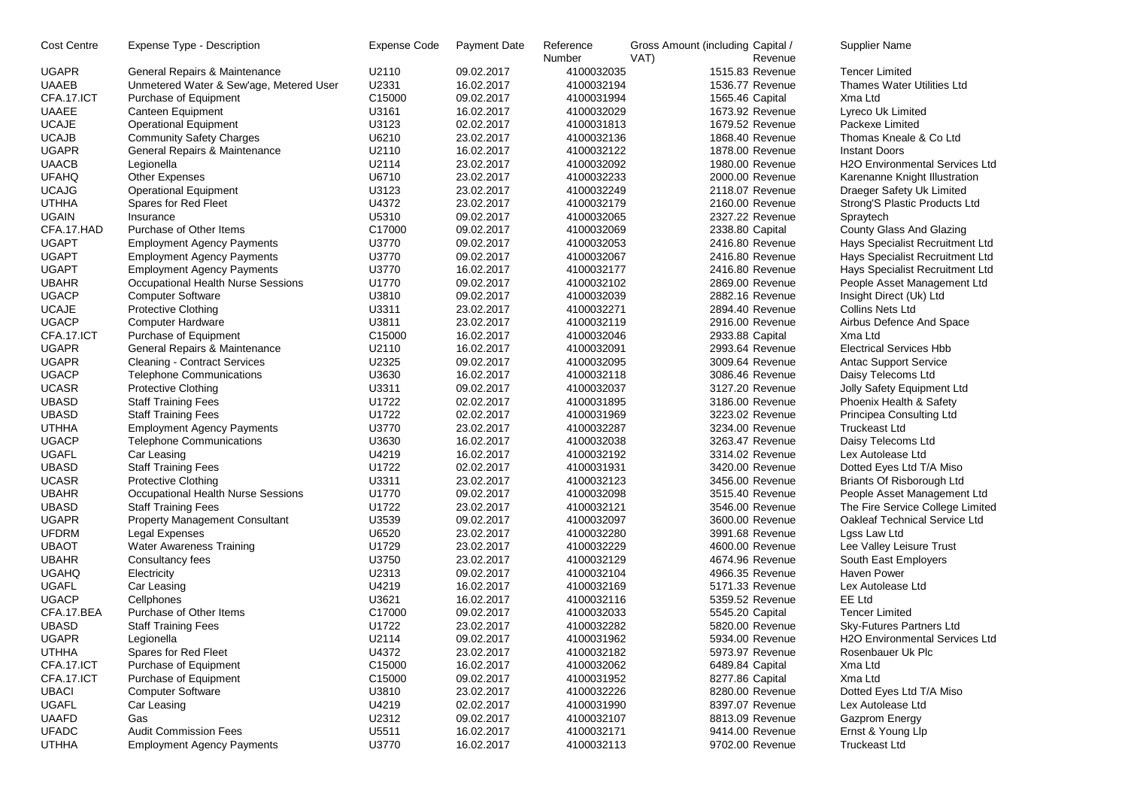| Cost Centre  | Expense Type - Description              | Expense Code | Payment Date             | Reference<br>Number      | Gross Amount (including Capital /<br>VAT) | Revenue | Supplier Name                                    |
|--------------|-----------------------------------------|--------------|--------------------------|--------------------------|-------------------------------------------|---------|--------------------------------------------------|
| <b>UGAPR</b> | General Repairs & Maintenance           | U2110        | 09.02.2017               | 4100032035               | 1515.83 Revenue                           |         | <b>Tencer Limited</b>                            |
| <b>UAAEB</b> | Unmetered Water & Sew'age, Metered User | U2331        | 16.02.2017               | 4100032194               | 1536.77 Revenue                           |         | <b>Thames Water Utilities Ltd</b>                |
| CFA.17.ICT   | Purchase of Equipment                   | C15000       | 09.02.2017               | 4100031994               | 1565.46 Capital                           |         | Xma Ltd                                          |
| <b>UAAEE</b> | Canteen Equipment                       | U3161        | 16.02.2017               | 4100032029               | 1673.92 Revenue                           |         | Lyreco Uk Limited                                |
| <b>UCAJE</b> | <b>Operational Equipment</b>            | U3123        | 02.02.2017               | 4100031813               | 1679.52 Revenue                           |         | Packexe Limited                                  |
| <b>UCAJB</b> | <b>Community Safety Charges</b>         | U6210        | 23.02.2017               | 4100032136               | 1868.40 Revenue                           |         | Thomas Kneale & Co Ltd                           |
| <b>UGAPR</b> | General Repairs & Maintenance           | U2110        | 16.02.2017               | 4100032122               | 1878.00 Revenue                           |         | <b>Instant Doors</b>                             |
| <b>UAACB</b> | Legionella                              | U2114        | 23.02.2017               | 4100032092               | 1980.00 Revenue                           |         | <b>H2O Environmental Services Ltd</b>            |
| <b>UFAHQ</b> | <b>Other Expenses</b>                   | U6710        | 23.02.2017               | 4100032233               | 2000.00 Revenue                           |         | Karenanne Knight Illustration                    |
| <b>UCAJG</b> | <b>Operational Equipment</b>            | U3123        | 23.02.2017               | 4100032249               | 2118.07 Revenue                           |         | Draeger Safety Uk Limited                        |
| <b>UTHHA</b> | Spares for Red Fleet                    | U4372        | 23.02.2017               | 4100032179               | 2160.00 Revenue                           |         | Strong'S Plastic Products Ltd                    |
| <b>UGAIN</b> | Insurance                               | U5310        | 09.02.2017               | 4100032065               | 2327.22 Revenue                           |         | Spraytech                                        |
| CFA.17.HAD   | Purchase of Other Items                 | C17000       | 09.02.2017               | 4100032069               | 2338.80 Capital                           |         | County Glass And Glazing                         |
| <b>UGAPT</b> | <b>Employment Agency Payments</b>       | U3770        | 09.02.2017               | 4100032053               | 2416.80 Revenue                           |         | Hays Specialist Recruitment Ltd                  |
| <b>UGAPT</b> | <b>Employment Agency Payments</b>       | U3770        | 09.02.2017               | 4100032067               | 2416.80 Revenue                           |         | Hays Specialist Recruitment Ltd                  |
| <b>UGAPT</b> | <b>Employment Agency Payments</b>       | U3770        | 16.02.2017               | 4100032177               | 2416.80 Revenue                           |         | Hays Specialist Recruitment Ltd                  |
| <b>UBAHR</b> | Occupational Health Nurse Sessions      | U1770        | 09.02.2017               | 4100032102               | 2869.00 Revenue                           |         | People Asset Management Ltd                      |
| <b>UGACP</b> | <b>Computer Software</b>                | U3810        | 09.02.2017               | 4100032039               | 2882.16 Revenue                           |         | Insight Direct (Uk) Ltd                          |
| <b>UCAJE</b> | <b>Protective Clothing</b>              | U3311        | 23.02.2017               | 4100032271               | 2894.40 Revenue                           |         | Collins Nets Ltd                                 |
| <b>UGACP</b> | Computer Hardware                       | U3811        | 23.02.2017               | 4100032119               | 2916.00 Revenue                           |         | Airbus Defence And Space                         |
| CFA.17.ICT   | Purchase of Equipment                   | C15000       | 16.02.2017               | 4100032046               | 2933.88 Capital                           |         | Xma Ltd                                          |
| <b>UGAPR</b> | General Repairs & Maintenance           | U2110        | 16.02.2017               | 4100032091               | 2993.64 Revenue                           |         | <b>Electrical Services Hbb</b>                   |
| <b>UGAPR</b> | <b>Cleaning - Contract Services</b>     | U2325        | 09.02.2017               | 4100032095               | 3009.64 Revenue                           |         | Antac Support Service                            |
| <b>UGACP</b> | <b>Telephone Communications</b>         | U3630        | 16.02.2017               | 4100032118               | 3086.46 Revenue                           |         | Daisy Telecoms Ltd                               |
| <b>UCASR</b> | <b>Protective Clothing</b>              | U3311        | 09.02.2017               | 4100032037               | 3127.20 Revenue                           |         | Jolly Safety Equipment Ltd                       |
| <b>UBASD</b> | <b>Staff Training Fees</b>              | U1722        | 02.02.2017               | 4100031895               | 3186.00 Revenue                           |         | Phoenix Health & Safety                          |
| <b>UBASD</b> | <b>Staff Training Fees</b>              | U1722        | 02.02.2017               | 4100031969               | 3223.02 Revenue                           |         | Principea Consulting Ltd                         |
| <b>UTHHA</b> | <b>Employment Agency Payments</b>       | U3770        | 23.02.2017               | 4100032287               | 3234.00 Revenue                           |         | <b>Truckeast Ltd</b>                             |
| <b>UGACP</b> | <b>Telephone Communications</b>         | U3630        | 16.02.2017               | 4100032038               | 3263.47 Revenue                           |         | Daisy Telecoms Ltd                               |
| <b>UGAFL</b> | Car Leasing                             | U4219        | 16.02.2017               | 4100032192               | 3314.02 Revenue                           |         | Lex Autolease Ltd                                |
| <b>UBASD</b> | <b>Staff Training Fees</b>              | U1722        | 02.02.2017               | 4100031931               | 3420.00 Revenue                           |         | Dotted Eyes Ltd T/A Miso                         |
| <b>UCASR</b> | <b>Protective Clothing</b>              | U3311        | 23.02.2017               | 4100032123               | 3456.00 Revenue                           |         | Briants Of Risborough Ltd                        |
| <b>UBAHR</b> | Occupational Health Nurse Sessions      | U1770        | 09.02.2017               | 4100032098               | 3515.40 Revenue                           |         | People Asset Management Ltd                      |
| <b>UBASD</b> | <b>Staff Training Fees</b>              | U1722        | 23.02.2017               | 4100032121               | 3546.00 Revenue                           |         | The Fire Service College Limited                 |
| <b>UGAPR</b> | <b>Property Management Consultant</b>   | U3539        | 09.02.2017               | 4100032097               | 3600.00 Revenue                           |         | Oakleaf Technical Service Ltd                    |
| <b>UFDRM</b> | Legal Expenses                          | U6520        |                          |                          | 3991.68 Revenue                           |         | Lgss Law Ltd                                     |
| <b>UBAOT</b> |                                         | U1729        | 23.02.2017<br>23.02.2017 | 4100032280<br>4100032229 | 4600.00 Revenue                           |         |                                                  |
| <b>UBAHR</b> | <b>Water Awareness Training</b>         | U3750        | 23.02.2017               | 4100032129               | 4674.96 Revenue                           |         | Lee Valley Leisure Trust<br>South East Employers |
| <b>UGAHQ</b> | Consultancy fees                        | U2313        | 09.02.2017               |                          | 4966.35 Revenue                           |         | Haven Power                                      |
|              | Electricity                             |              |                          | 4100032104               |                                           |         |                                                  |
| <b>UGAFL</b> | Car Leasing                             | U4219        | 16.02.2017               | 4100032169               | 5171.33 Revenue                           |         | Lex Autolease Ltd                                |
| <b>UGACP</b> | Cellphones                              | U3621        | 16.02.2017               | 4100032116               | 5359.52 Revenue                           |         | EE Ltd                                           |
| CFA.17.BEA   | Purchase of Other Items                 | C17000       | 09.02.2017               | 4100032033               | 5545.20 Capital                           |         | <b>Tencer Limited</b>                            |
| <b>UBASD</b> | <b>Staff Training Fees</b>              | U1722        | 23.02.2017               | 4100032282               | 5820.00 Revenue                           |         | Sky-Futures Partners Ltd                         |
| <b>UGAPR</b> | Legionella                              | U2114        | 09.02.2017               | 4100031962               | 5934.00 Revenue                           |         | H2O Environmental Services Ltd                   |
| <b>UTHHA</b> | Spares for Red Fleet                    | U4372        | 23.02.2017               | 4100032182               | 5973.97 Revenue                           |         | Rosenbauer Uk Plc                                |
| CFA.17.ICT   | Purchase of Equipment                   | C15000       | 16.02.2017               | 4100032062               | 6489.84 Capital                           |         | Xma Ltd                                          |
| CFA.17.ICT   | Purchase of Equipment                   | C15000       | 09.02.2017               | 4100031952               | 8277.86 Capital                           |         | Xma Ltd                                          |
| <b>UBACI</b> | <b>Computer Software</b>                | U3810        | 23.02.2017               | 4100032226               | 8280.00 Revenue                           |         | Dotted Eyes Ltd T/A Miso                         |
| <b>UGAFL</b> | Car Leasing                             | U4219        | 02.02.2017               | 4100031990               | 8397.07 Revenue                           |         | Lex Autolease Ltd                                |
| <b>UAAFD</b> | Gas                                     | U2312        | 09.02.2017               | 4100032107               | 8813.09 Revenue                           |         | Gazprom Energy                                   |
| <b>UFADC</b> | <b>Audit Commission Fees</b>            | U5511        | 16.02.2017               | 4100032171               | 9414.00 Revenue                           |         | Ernst & Young Llp                                |
| <b>UTHHA</b> | <b>Employment Agency Payments</b>       | U3770        | 16.02.2017               | 4100032113               | 9702.00 Revenue                           |         | <b>Truckeast Ltd</b>                             |